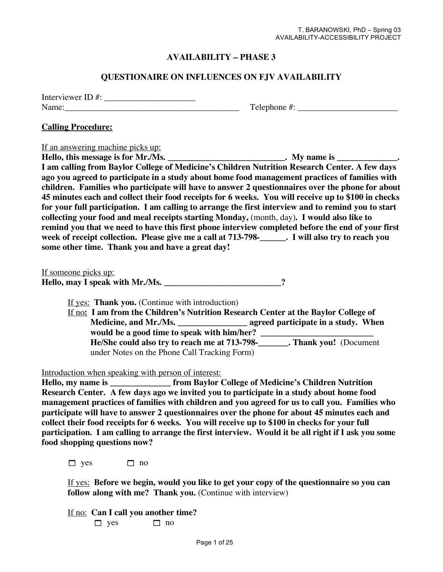### **AVAILABILITY – PHASE 3**

#### **QUESTIONAIRE ON INFLUENCES ON FJV AVAILABILITY**

| Interviewer ID $#$ : |  |
|----------------------|--|
| Name:                |  |

### $Telephone \#:\_$

#### **Calling Procedure:**

If an answering machine picks up:

**Hello, this message is for Mr./Ms. \_\_\_\_\_\_\_\_\_\_\_\_\_\_\_\_\_\_\_\_\_\_\_\_\_\_\_. My name is \_\_\_\_\_\_\_\_\_\_\_\_\_\_. I am calling from Baylor College of Medicine's Children Nutrition Research Center. A few days ago you agreed to participate in a study about home food management practices of families with children. Families who participate will have to answer 2 questionnaires over the phone for about 45 minutes each and collect their food receipts for 6 weeks. You will receive up to \$100 in checks for your full participation. I am calling to arrange the first interview and to remind you to start collecting your food and meal receipts starting Monday,** (month, day)**. I would also like to remind you that we need to have this first phone interview completed before the end of your first week of receipt collection. Please give me a call at 713-798-\_\_\_\_\_\_. I will also try to reach you some other time. Thank you and have a great day!**

If someone picks up:

**Hello, may I speak with Mr./Ms. \_\_\_\_\_\_\_\_\_\_\_\_\_\_\_\_\_\_\_\_\_\_\_\_\_\_\_?** 

If yes: **Thank you.** (Continue with introduction)

If no**: I am from the Children's Nutrition Research Center at the Baylor College of Medicine, and Mr./Ms. \_\_\_\_\_\_\_\_\_\_\_\_\_\_\_\_ agreed participate in a study. When would be a good time to speak with him/her? \_\_\_\_\_\_\_\_\_\_\_\_\_\_\_\_\_\_\_\_\_\_\_\_\_\_ He/She could also try to reach me at 713-798-\_\_\_\_\_\_\_. Thank you!** (Document under Notes on the Phone Call Tracking Form)

Introduction when speaking with person of interest:

**Hello, my name is \_\_\_\_\_\_\_\_\_\_\_\_\_\_ from Baylor College of Medicine's Children Nutrition Research Center. A few days ago we invited you to participate in a study about home food management practices of families with children and you agreed for us to call you. Families who participate will have to answer 2 questionnaires over the phone for about 45 minutes each and collect their food receipts for 6 weeks. You will receive up to \$100 in checks for your full participation. I am calling to arrange the first interview. Would it be all right if I ask you some food shopping questions now?**

 $\Box$  yes  $\Box$  no

If yes: **Before we begin, would you like to get your copy of the questionnaire so you can follow along with me? Thank you.** (Continue with interview)

If no: **Can I call you another time?**  $\Box$  yes  $\Box$  no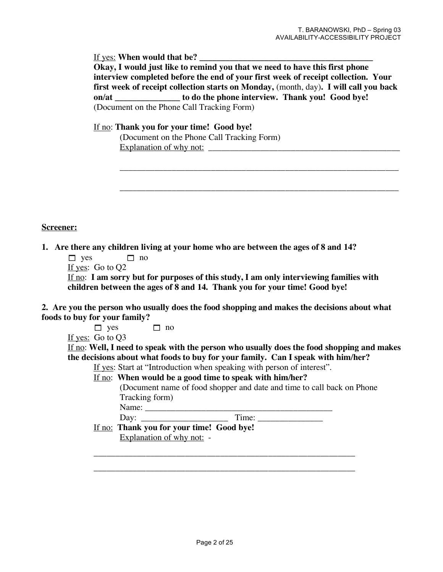If yes: **When would that be? \_\_\_\_\_\_\_\_\_\_\_\_\_\_\_\_\_\_\_\_\_\_\_\_\_\_\_\_\_\_\_\_\_\_\_\_\_\_\_\_ Okay, I would just like to remind you that we need to have this first phone interview completed before the end of your first week of receipt collection. Your first week of receipt collection starts on Monday,** (month, day)**. I will call you back on/at \_\_\_\_\_\_\_\_\_\_\_\_\_\_\_ to do the phone interview. Thank you! Good bye!** (Document on the Phone Call Tracking Form)

\_\_\_\_\_\_\_\_\_\_\_\_\_\_\_\_\_\_\_\_\_\_\_\_\_\_\_\_\_\_\_\_\_\_\_\_\_\_\_\_\_\_\_\_\_\_\_\_\_\_\_\_\_\_\_\_\_\_\_\_\_\_\_\_

\_\_\_\_\_\_\_\_\_\_\_\_\_\_\_\_\_\_\_\_\_\_\_\_\_\_\_\_\_\_\_\_\_\_\_\_\_\_\_\_\_\_\_\_\_\_\_\_\_\_\_\_\_\_\_\_\_\_\_\_\_\_\_\_

If no: **Thank you for your time! Good bye!**

| (Document on the Phone Call Tracking Form) |  |
|--------------------------------------------|--|
| Explanation of why not:                    |  |

**Screener:**

**1. Are there any children living at your home who are between the ages of 8 and 14?**

```
\Box yes \Box no
```

```
If yes: Go to Q2
```
If no: **I am sorry but for purposes of this study, I am only interviewing families with children between the ages of 8 and 14. Thank you for your time! Good bye!**

**2. Are you the person who usually does the food shopping and makes the decisions about what foods to buy for your family?**

 $\Box$  yes  $\Box$  no

If yes: Go to Q3

If no: **Well, I need to speak with the person who usually does the food shopping and makes the decisions about what foods to buy for your family. Can I speak with him/her?**

If yes: Start at "Introduction when speaking with person of interest".

If no: **When would be a good time to speak with him/her?**

(Document name of food shopper and date and time to call back on Phone Tracking form)

Name: \_\_\_\_\_\_\_\_\_\_\_\_\_\_\_\_\_\_\_\_\_\_\_\_\_\_\_\_\_\_\_\_\_\_\_\_\_\_\_\_\_\_\_

Day:  $\Box$  Time:  $\Box$ 

If no: **Thank you for your time! Good bye!** Explanation of why not: -

\_\_\_\_\_\_\_\_\_\_\_\_\_\_\_\_\_\_\_\_\_\_\_\_\_\_\_\_\_\_\_\_\_\_\_\_\_\_\_\_\_\_\_\_\_\_\_\_\_\_\_\_\_\_\_\_\_\_\_\_

\_\_\_\_\_\_\_\_\_\_\_\_\_\_\_\_\_\_\_\_\_\_\_\_\_\_\_\_\_\_\_\_\_\_\_\_\_\_\_\_\_\_\_\_\_\_\_\_\_\_\_\_\_\_\_\_\_\_\_\_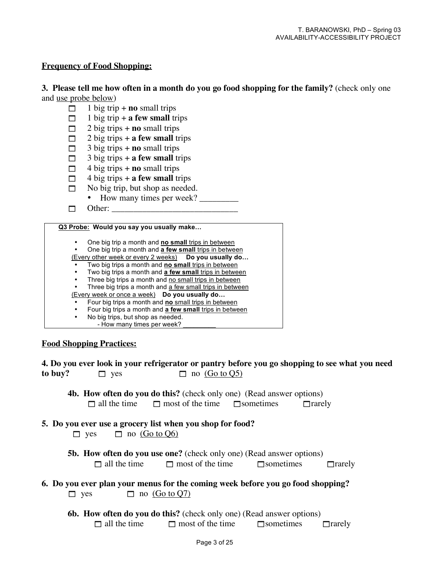#### **Frequency of Food Shopping:**

**3. Please tell me how often in a month do you go food shopping for the family?** (check only one and use probe below)

- $\Box$  1 big trip + **no** small trips
- $\Box$  1 big trip + **a few small** trips
- $\Box$  2 big trips + **no** small trips
- $\Box$  2 big trips + **a few small** trips
- $\Box$  3 big trips + **no** small trips
- $\Box$  3 big trips + **a few small** trips
- $\Box$  4 big trips + **no** small trips
- $\Box$  4 big trips + **a few small** trips
- $\Box$  No big trip, but shop as needed.
	- How many times per week? \_\_\_\_\_\_\_\_\_
- $\Box$  Other:

#### **Q3 Probe: Would you say you usually make…**

- One big trip a month and **no small** trips in between
- One big trip a month and **a few small** trips in between
- (Every other week or every 2 weeks) **Do you usually do…**
- Two big trips a month and **no small** trips in between • Two big trips a month and **a few small** trips in between
- Three big trips a month and no small trips in between
- Three big trips a month and a few small trips in between
- (Every week or once a week) **Do you usually do…**
- Four big trips a month and **no** small trips in between
- Four big trips a month and **a few small** trips in between
	- No big trips, but shop as needed. - How many times per week?

#### **Food Shopping Practices:**

|         |            | 4. Do you ever look in your refrigerator or pantry before you go shopping to see what you need |  |  |
|---------|------------|------------------------------------------------------------------------------------------------|--|--|
| to buy? | $\Box$ yes | $\Box$ no (Go to Q5)                                                                           |  |  |

- **4b. How often do you do this?** (check only one) (Read answer options)  $\Box$  all the time  $\Box$  most of the time  $\Box$  sometimes  $\Box$  rarely
- **5. Do you ever use a grocery list when you shop for food?**   $\Box$  yes  $\Box$  no (Go to Q6)
	- **5b. How often do you use one?** (check only one) (Read answer options)  $\Box$  all the time  $\Box$  most of the time  $\Box$  sometimes  $\Box$  rarely
- **6. Do you ever plan your menus for the coming week before you go food shopping?**  $\Box$  yes  $\Box$  no (Go to O7)
	- **6b. How often do you do this?** (check only one) (Read answer options)  $\Box$  all the time  $\Box$  most of the time  $\Box$  sometimes  $\Box$  rarely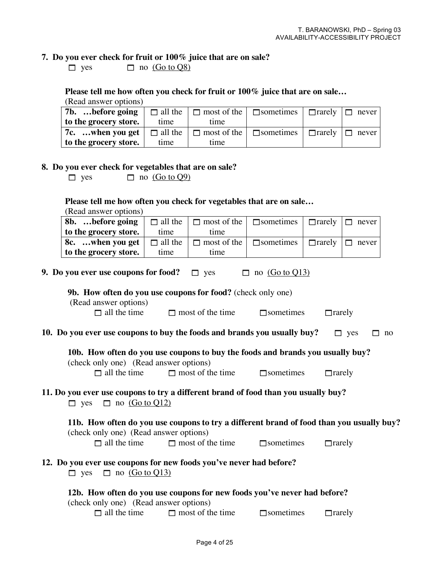### **7. Do you ever check for fruit or 100% juice that are on sale?**

 $\Box$  yes  $\Box$  no  $\overline{(Go to Q8)}$ 

### **Please tell me how often you check for fruit or 100% juice that are on sale…**

| (Read answer options)                                                                        |      |                                                                                   |  |  |
|----------------------------------------------------------------------------------------------|------|-----------------------------------------------------------------------------------|--|--|
| 7b. before going                                                                             |      | $\Box$ all the $\Box$ most of the $\Box$ sometimes $\Box$ and $\Box$ never $\Box$ |  |  |
| to the grocery store.                                                                        | time | time                                                                              |  |  |
| 7c.  when you get $\Box$ all the $\Box$ most of the $\Box$ sometimes $\Box$ and $\Box$ never |      |                                                                                   |  |  |
| to the grocery store.                                                                        | time | time                                                                              |  |  |

### **8. Do you ever check for vegetables that are on sale?**

 $\Box$  yes  $\Box$  no  $\overline{(Go to Q9)}$ 

### **Please tell me how often you check for vegetables that are on sale…**

| (Read answer options)                                                                                                                      |                |                         |                  |               |                  |  |  |  |  |  |
|--------------------------------------------------------------------------------------------------------------------------------------------|----------------|-------------------------|------------------|---------------|------------------|--|--|--|--|--|
| 8b. before going                                                                                                                           | $\Box$ all the | $\Box$ most of the      | $\Box$ sometimes | $\Box$ rarely | $\Box$ never     |  |  |  |  |  |
| to the grocery store.                                                                                                                      | time           | time                    |                  |               |                  |  |  |  |  |  |
| 8c. when you get                                                                                                                           | $\Box$ all the | $\Box$ most of the      | $\Box$ sometimes | $\Box$ rarely | $\Box$ never     |  |  |  |  |  |
| to the grocery store.                                                                                                                      | time           | time                    |                  |               |                  |  |  |  |  |  |
| 9. Do you ever use coupons for food?<br>$\Box$ no (Go to Q13)<br>$\Box$ yes<br>9b. How often do you use coupons for food? (check only one) |                |                         |                  |               |                  |  |  |  |  |  |
| (Read answer options)                                                                                                                      |                |                         |                  |               |                  |  |  |  |  |  |
| $\Box$ all the time                                                                                                                        |                | $\Box$ most of the time | $\Box$ sometimes | $\Box$ rarely |                  |  |  |  |  |  |
| 10. Do you ever use coupons to buy the foods and brands you usually buy?                                                                   |                |                         |                  |               | $\Box$ yes<br>no |  |  |  |  |  |
| 10b. How often do you use coupons to buy the foods and brands you usually buy?<br>(check only one) (Read answer options)                   |                |                         |                  |               |                  |  |  |  |  |  |
| $\Box$ all the time                                                                                                                        |                | $\Box$ most of the time | $\Box$ sometimes | $\Box$ rarely |                  |  |  |  |  |  |
| 11. Do you ever use coupons to try a different brand of food than you usually buy?<br>$\Box$ no (Go to Q12)<br>$\Box$ yes                  |                |                         |                  |               |                  |  |  |  |  |  |
| 11b. How often do you use coupons to try a different brand of food than you usually buy?<br>(check only one) (Read answer options)         |                |                         |                  |               |                  |  |  |  |  |  |
| $\Box$ all the time                                                                                                                        |                | $\Box$ most of the time | $\Box$ sometimes | $\Box$ rarely |                  |  |  |  |  |  |
| 12. Do you ever use coupons for new foods you've never had before?<br>no $(Go to Q13)$<br>$\Box$<br>$\Box$ yes                             |                |                         |                  |               |                  |  |  |  |  |  |
| 12b. How often do you use coupons for new foods you've never had before?                                                                   |                |                         |                  |               |                  |  |  |  |  |  |
| (check only one) (Read answer options)                                                                                                     |                |                         |                  |               |                  |  |  |  |  |  |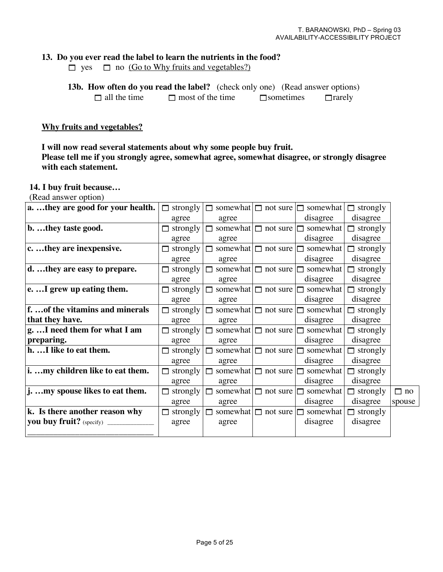### **13. Do you ever read the label to learn the nutrients in the food?**

 $\Box$  yes  $\Box$  no (Go to Why fruits and vegetables?)

| <b>13b. How often do you read the label?</b> (check only one) (Read answer options) |                         |  |                  |               |
|-------------------------------------------------------------------------------------|-------------------------|--|------------------|---------------|
| $\Box$ all the time                                                                 | $\Box$ most of the time |  | $\Box$ sometimes | $\Box$ rarely |

#### **Why fruits and vegetables?**

### **I will now read several statements about why some people buy fruit. Please tell me if you strongly agree, somewhat agree, somewhat disagree, or strongly disagree with each statement.**

#### **14. I buy fruit because…**

(Read answer option)

| a.  they are good for your health. | strongly        | $\Box$ |                          | somewhat $\Box$ not sure $\Box$ somewhat | $\Box$ strongly |           |
|------------------------------------|-----------------|--------|--------------------------|------------------------------------------|-----------------|-----------|
|                                    | agree           | agree  |                          | disagree                                 | disagree        |           |
| b. they taste good.                | strongly        | П      | somewhat $\Box$ not sure | somewhat                                 | $\Box$ strongly |           |
|                                    | agree           | agree  |                          | disagree                                 | disagree        |           |
| c.  they are inexpensive.          | strongly        | П      | somewhat $\Box$ not sure | somewhat                                 | $\Box$ strongly |           |
|                                    | agree           | agree  |                          | disagree                                 | disagree        |           |
| d. they are easy to prepare.       | $\Box$ strongly |        | somewhat $\Box$ not sure | somewhat                                 | $\Box$ strongly |           |
|                                    | agree           | agree  |                          | disagree                                 | disagree        |           |
| e.  I grew up eating them.         | $\Box$ strongly |        | somewhat $\Box$ not sure | somewhat                                 | $\Box$ strongly |           |
|                                    | agree           | agree  |                          | disagree                                 | disagree        |           |
| f.  of the vitamins and minerals   | $\Box$ strongly |        | somewhat $\Box$ not sure | somewhat                                 | $\Box$ strongly |           |
| that they have.                    | agree           | agree  |                          | disagree                                 | disagree        |           |
| g.  I need them for what I am      | strongly        | П      | somewhat $\Box$ not sure | somewhat                                 | $\Box$ strongly |           |
| preparing.                         | agree           | agree  |                          | disagree                                 | disagree        |           |
| h. I like to eat them.             | $\Box$ strongly |        | somewhat $\Box$ not sure | somewhat                                 | $\Box$ strongly |           |
|                                    | agree           | agree  |                          | disagree                                 | disagree        |           |
| i. my children like to eat them.   | strongly        |        | somewhat $\Box$ not sure | somewhat                                 | $\Box$ strongly |           |
|                                    | agree           | agree  |                          | disagree                                 | disagree        |           |
| j. my spouse likes to eat them.    | strongly        |        | somewhat $\Box$ not sure | somewhat                                 | $\Box$ strongly | $\Box$ no |
|                                    | agree           | agree  |                          | disagree                                 | disagree        | spouse    |
| k. Is there another reason why     | strongly        | П      | somewhat $\Box$ not sure | somewhat                                 | $\Box$ strongly |           |
|                                    | agree           | agree  |                          | disagree                                 | disagree        |           |
|                                    |                 |        |                          |                                          |                 |           |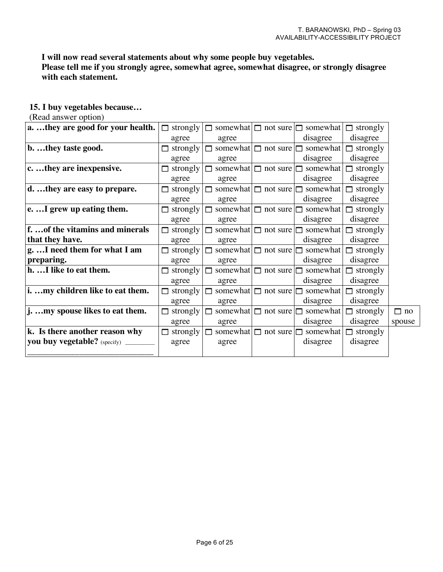### **I will now read several statements about why some people buy vegetables.**

**Please tell me if you strongly agree, somewhat agree, somewhat disagree, or strongly disagree with each statement.**

#### **15. I buy vegetables because…**

### (Read answer option)

| a.  they are good for your health. | $\Box$ strongly |       |                                 | $\Box$ somewhat $\Box$ not sure $\Box$ somewhat | $\Box$ strongly |           |
|------------------------------------|-----------------|-------|---------------------------------|-------------------------------------------------|-----------------|-----------|
|                                    | agree           | agree |                                 | disagree                                        | disagree        |           |
| b. they taste good.                | strongly        |       |                                 | somewhat $\Box$ not sure $\Box$ somewhat        | $\Box$ strongly |           |
|                                    | agree           | agree |                                 | disagree                                        | disagree        |           |
| c. they are inexpensive.           | strongly        |       |                                 | somewhat $\Box$ not sure $\Box$ somewhat        | $\Box$ strongly |           |
|                                    | agree           | agree |                                 | disagree                                        | disagree        |           |
| d. they are easy to prepare.       | strongly<br>п   |       | somewhat $\Box$ not sure $\Box$ | somewhat                                        | $\Box$ strongly |           |
|                                    | agree           | agree |                                 | disagree                                        | disagree        |           |
| e. I grew up eating them.          | strongly        |       |                                 | somewhat $\Box$ not sure $\Box$ somewhat        | $\Box$ strongly |           |
|                                    | agree           | agree |                                 | disagree                                        | disagree        |           |
| f.  of the vitamins and minerals   | strongly        |       |                                 | somewhat $\Box$ not sure $\Box$ somewhat        | $\Box$ strongly |           |
| that they have.                    | agree           | agree |                                 | disagree                                        | disagree        |           |
| g.  I need them for what I am      | strongly        |       |                                 | somewhat $\Box$ not sure $\Box$ somewhat        | $\Box$ strongly |           |
| preparing.                         | agree           | agree |                                 | disagree                                        | disagree        |           |
| h. I like to eat them.             | strongly<br>п   |       | somewhat $\Box$ not sure $\Box$ | somewhat                                        | $\Box$ strongly |           |
|                                    | agree           | agree |                                 | disagree                                        | disagree        |           |
| i. my children like to eat them.   | strongly        |       |                                 | somewhat $\Box$ not sure $\Box$ somewhat        | $\Box$ strongly |           |
|                                    | agree           | agree |                                 | disagree                                        | disagree        |           |
| j. my spouse likes to eat them.    | strongly        |       |                                 | somewhat $\Box$ not sure $\Box$ somewhat        | $\Box$ strongly | $\Box$ no |
|                                    | agree           | agree |                                 | disagree                                        | disagree        | spouse    |
| k. Is there another reason why     | strongly        |       |                                 | somewhat $\Box$ not sure $\Box$ somewhat        | $\Box$ strongly |           |
| you buy vegetable? (specify) ___   | agree           | agree |                                 | disagree                                        | disagree        |           |
|                                    |                 |       |                                 |                                                 |                 |           |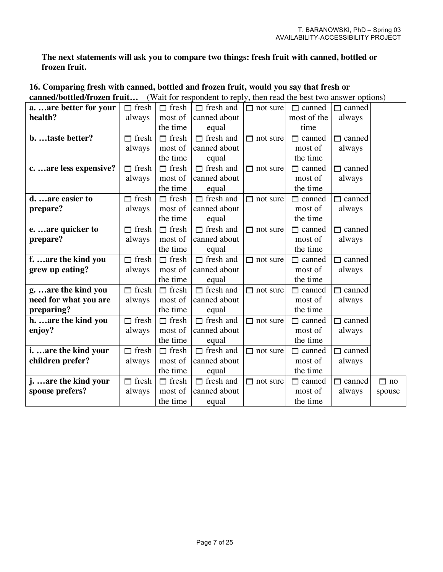**The next statements will ask you to compare two things: fresh fruit with canned, bottled or frozen fruit.**

| canned/bottled/11 0zen 11 dit |              |              | $\mu$ of the respondent to repry, then read the best two answer options |                 |               |               |           |
|-------------------------------|--------------|--------------|-------------------------------------------------------------------------|-----------------|---------------|---------------|-----------|
| a.  are better for your       | $\Box$ fresh | $\Box$ fresh | $\Box$ fresh and                                                        | $\Box$ not sure | $\Box$ canned | $\Box$ canned |           |
| health?                       | always       | most of      | canned about                                                            |                 | most of the   | always        |           |
|                               |              | the time     | equal                                                                   |                 | time          |               |           |
| b. taste better?              | $\Box$ fresh | $\Box$ fresh | $\Box$ fresh and                                                        | $\Box$ not sure | $\Box$ canned | $\Box$ canned |           |
|                               | always       | most of      | canned about                                                            |                 | most of       | always        |           |
|                               |              | the time     | equal                                                                   |                 | the time      |               |           |
| care less expensive?          | $\Box$ fresh | $\Box$ fresh | $\Box$ fresh and                                                        | $\Box$ not sure | $\Box$ canned | $\Box$ canned |           |
|                               | always       | most of      | canned about                                                            |                 | most of       | always        |           |
|                               |              | the time     | equal                                                                   |                 | the time      |               |           |
| d. are easier to              | $\Box$ fresh | $\Box$ fresh | $\Box$ fresh and                                                        | $\Box$ not sure | $\Box$ canned | $\Box$ canned |           |
| prepare?                      | always       | most of      | canned about                                                            |                 | most of       | always        |           |
|                               |              | the time     | equal                                                                   |                 | the time      |               |           |
| e.  are quicker to            | $\Box$ fresh | $\Box$ fresh | $\Box$ fresh and                                                        | $\Box$ not sure | $\Box$ canned | $\Box$ canned |           |
| prepare?                      | always       | most of      | canned about                                                            |                 | most of       | always        |           |
|                               |              | the time     | equal                                                                   |                 | the time      |               |           |
| f.  are the kind you          | $\Box$ fresh | $\Box$ fresh | $\Box$ fresh and                                                        | $\Box$ not sure | $\Box$ canned | $\Box$ canned |           |
| grew up eating?               | always       | most of      | canned about                                                            |                 | most of       | always        |           |
|                               |              | the time     | equal                                                                   |                 | the time      |               |           |
| g.  are the kind you          | $\Box$ fresh | $\Box$ fresh | $\Box$ fresh and                                                        | $\Box$ not sure | $\Box$ canned | $\Box$ canned |           |
| need for what you are         | always       | most of      | canned about                                                            |                 | most of       | always        |           |
| preparing?                    |              | the time     | equal                                                                   |                 | the time      |               |           |
| h.  are the kind you          | $\Box$ fresh | $\Box$ fresh | $\Box$ fresh and                                                        | $\Box$ not sure | $\Box$ canned | $\Box$ canned |           |
| enjoy?                        | always       | most of      | canned about                                                            |                 | most of       | always        |           |
|                               |              | the time     | equal                                                                   |                 | the time      |               |           |
| i.  are the kind your         | $\Box$ fresh | $\Box$ fresh | $\Box$ fresh and                                                        | $\Box$ not sure | $\Box$ canned | $\Box$ canned |           |
| children prefer?              | always       | most of      | canned about                                                            |                 | most of       | always        |           |
|                               |              | the time     | equal                                                                   |                 | the time      |               |           |
| j.  are the kind your         | $\Box$ fresh | $\Box$ fresh | $\Box$ fresh and                                                        | $\Box$ not sure | $\Box$ canned | $\Box$ canned | $\Box$ no |
| spouse prefers?               | always       | most of      | canned about                                                            |                 | most of       | always        | spouse    |
|                               |              | the time     | equal                                                                   |                 | the time      |               |           |

#### **16. Comparing fresh with canned, bottled and frozen fruit, would you say that fresh or** *canned CWait for respondent to reply, then read the best two answer options)*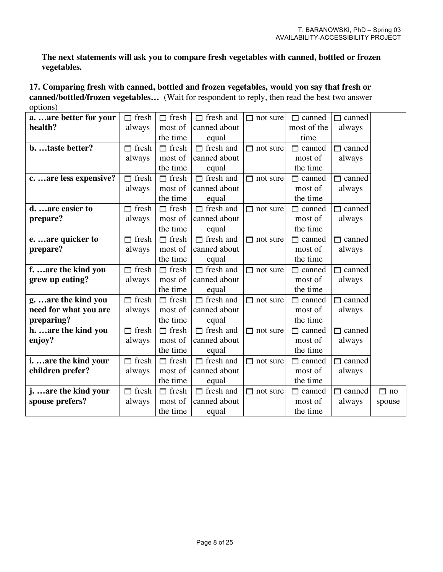**The next statements will ask you to compare fresh vegetables with canned, bottled or frozen vegetables.**

**17. Comparing fresh with canned, bottled and frozen vegetables, would you say that fresh or canned/bottled/frozen vegetables…** (Wait for respondent to reply, then read the best two answer options)

| aare better for your    | $\Box$ fresh | $\Box$ fresh | $\Box$ fresh and | $\Box$ not sure | $\Box$ canned | $\Box$ canned |           |
|-------------------------|--------------|--------------|------------------|-----------------|---------------|---------------|-----------|
| health?                 | always       | most of      | canned about     |                 | most of the   | always        |           |
|                         |              | the time     | equal            |                 | time          |               |           |
| b. taste better?        | $\Box$ fresh | $\Box$ fresh | $\Box$ fresh and | $\Box$ not sure | $\Box$ canned | $\Box$ canned |           |
|                         | always       | most of      | canned about     |                 | most of       | always        |           |
|                         |              | the time     | equal            |                 | the time      |               |           |
| c.  are less expensive? | $\Box$ fresh | $\Box$ fresh | $\Box$ fresh and | $\Box$ not sure | canned<br>П.  | $\Box$ canned |           |
|                         | always       | most of      | canned about     |                 | most of       | always        |           |
|                         |              | the time     | equal            |                 | the time      |               |           |
| d. are easier to        | $\Box$ fresh | $\Box$ fresh | $\Box$ fresh and | $\Box$ not sure | $\Box$ canned | $\Box$ canned |           |
| prepare?                | always       | most of      | canned about     |                 | most of       | always        |           |
|                         |              | the time     | equal            |                 | the time      |               |           |
| e.  are quicker to      | $\Box$ fresh | $\Box$ fresh | $\Box$ fresh and | $\Box$ not sure | $\Box$ canned | $\Box$ canned |           |
| prepare?                | always       | most of      | canned about     |                 | most of       | always        |           |
|                         |              | the time     | equal            |                 | the time      |               |           |
| f.  are the kind you    | $\Box$ fresh | $\Box$ fresh | $\Box$ fresh and | $\Box$ not sure | $\Box$ canned | $\Box$ canned |           |
| grew up eating?         | always       | most of      | canned about     |                 | most of       | always        |           |
|                         |              | the time     | equal            |                 | the time      |               |           |
| g.  are the kind you    | $\Box$ fresh | $\Box$ fresh | $\Box$ fresh and | $\Box$ not sure | canned<br>П   | $\Box$ canned |           |
| need for what you are   | always       | most of      | canned about     |                 | most of       | always        |           |
| preparing?              |              | the time     | equal            |                 | the time      |               |           |
| h.  are the kind you    | $\Box$ fresh | $\Box$ fresh | $\Box$ fresh and | $\Box$ not sure | $\Box$ canned | $\Box$ canned |           |
| enjoy?                  | always       | most of      | canned about     |                 | most of       | always        |           |
|                         |              | the time     | equal            |                 | the time      |               |           |
| i.  are the kind your   | $\Box$ fresh | $\Box$ fresh | $\Box$ fresh and | $\Box$ not sure | $\Box$ canned | $\Box$ canned |           |
| children prefer?        | always       | most of      | canned about     |                 | most of       | always        |           |
|                         |              | the time     | equal            |                 | the time      |               |           |
| j.  are the kind your   | $\Box$ fresh | $\Box$ fresh | $\Box$ fresh and | $\Box$ not sure | $\Box$ canned | $\Box$ canned | $\Box$ no |
| spouse prefers?         | always       | most of      | canned about     |                 | most of       | always        | spouse    |
|                         |              | the time     | equal            |                 | the time      |               |           |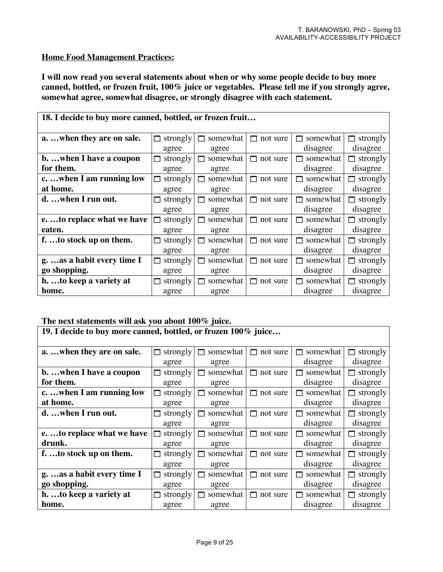#### **Home Food Management Practices:**

**I will now read you several statements about when or why some people decide to buy more canned, bottled, or frozen fruit, 100% juice or vegetables. Please tell me if you strongly agree, somewhat agree, somewhat disagree, or strongly disagree with each statement.**

| 18. I decide to buy more canned, bottled, or frozen fruit |               |               |                 |                |                 |  |  |  |  |
|-----------------------------------------------------------|---------------|---------------|-----------------|----------------|-----------------|--|--|--|--|
| a. when they are on sale.                                 | strongly<br>⊓ | somewhat<br>П | not sure<br>П   | somewhat<br>П. | strongly<br>⊓   |  |  |  |  |
|                                                           | agree         | agree         |                 | disagree       | disagree        |  |  |  |  |
| b. when I have a coupon                                   | strongly      | somewhat      | $\Box$ not sure | somewhat       | strongly        |  |  |  |  |
| for them.                                                 | agree         | agree         |                 | disagree       | disagree        |  |  |  |  |
| cwhen I am running low                                    | strongly      | somewhat      | $\Box$ not sure | somewhat       | $\Box$ strongly |  |  |  |  |
| at home.                                                  | agree         | agree         |                 | disagree       | disagree        |  |  |  |  |
| d. when I run out.                                        | strongly<br>П | somewhat      | $\Box$ not sure | somewhat       | $\Box$ strongly |  |  |  |  |
|                                                           | agree         | agree         |                 | disagree       | disagree        |  |  |  |  |
| eto replace what we have                                  | strongly<br>М | somewhat      | not sure<br>П   | somewhat<br>п  | $\Box$ strongly |  |  |  |  |
| eaten.                                                    | agree         | agree         |                 | disagree       | disagree        |  |  |  |  |
| f.  to stock up on them.                                  | strongly<br>П | somewhat      | not sure<br>П.  | somewhat<br>П  | $\Box$ strongly |  |  |  |  |
|                                                           | agree         | agree         |                 | disagree       | disagree        |  |  |  |  |
| g.  as a habit every time I                               | strongly<br>⊓ | somewhat      | not sure<br>П   | somewhat<br>П  | $\Box$ strongly |  |  |  |  |
| go shopping.                                              | agree         | agree         |                 | disagree       | disagree        |  |  |  |  |
| h. to keep a variety at                                   | strongly<br>⊓ | somewhat      | not sure<br>П.  | somewhat       | strongly        |  |  |  |  |
| home.                                                     | agree         | agree         |                 | disagree       | disagree        |  |  |  |  |

#### **The next statements will ask you about 100% juice.**

**19. I decide to buy more canned, bottled, or frozen 100% juice… a.** ... when they are on sale.  $\Box$  strongly agree  $\Box$  somewhat agree  $\Box$  not sure  $\Box$  somewhat disagree  $\Box$  strongly disagree **b. …when I have a coupon for them.**  $\Box$  strongly agree  $\Box$  somewhat agree  $\Box$  not sure  $\Box$  somewhat disagree  $\Box$  strongly disagree **c. …when I am running low at home.**  $\Box$  strongly agree  $\Box$  somewhat agree  $\Box$  not sure  $\Box$  somewhat disagree  $\Box$  strongly disagree **d.** ... when I run out.  $\Box$  strongly agree  $\Box$  somewhat agree  $\Box$  not sure  $\Box$  somewhat disagree  $\Box$  strongly disagree **e. …to replace what we have drunk.**  $\Box$  strongly agree  $\Box$  somewhat agree  $\Box$  not sure  $\Box$  somewhat disagree  $\Box$  strongly disagree **f.** ...to stock up on them.  $\Box$  strongly agree somewhat agree  $\Box$  not sure  $\Box$  somewhat disagree  $\Box$  strongly disagree **g. …as a habit every time I go shopping.**  $\Box$  strongly agree  $\Box$  somewhat agree  $\Box$  not sure  $\Box$  somewhat disagree strongly disagree **h. …to keep a variety at home.**  $\Box$  strongly agree  $\Box$  somewhat agree  $\Box$  not sure  $\Box$  somewhat disagree  $\Box$  strongly disagree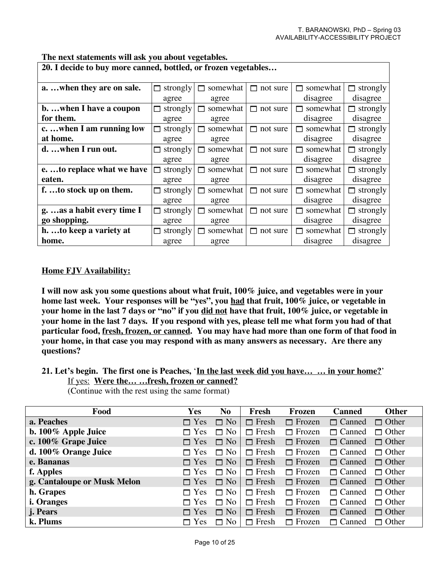| 20. I decide to buy more canned, bottled, or frozen vegetables |          |          |                |          |                 |  |  |  |  |
|----------------------------------------------------------------|----------|----------|----------------|----------|-----------------|--|--|--|--|
| awhen they are on sale.                                        | strongly | somewhat | not sure       | somewhat | strongly<br>п   |  |  |  |  |
|                                                                | agree    | agree    |                | disagree | disagree        |  |  |  |  |
| bwhen I have a coupon                                          | strongly | somewhat | not sure<br>П. | somewhat | strongly<br>⊓   |  |  |  |  |
| for them.                                                      | agree    | agree    |                | disagree | disagree        |  |  |  |  |
| cwhen I am running low                                         | strongly | somewhat | not sure<br>П  | somewhat | $\Box$ strongly |  |  |  |  |
| at home.                                                       | agree    | agree    |                | disagree | disagree        |  |  |  |  |
| d. when I run out.                                             | strongly | somewhat | not sure<br>П. | somewhat | $\Box$ strongly |  |  |  |  |
|                                                                | agree    | agree    |                | disagree | disagree        |  |  |  |  |
| eto replace what we have                                       | strongly | somewhat | not sure<br>⊓  | somewhat | $\Box$ strongly |  |  |  |  |
| eaten.                                                         | agree    | agree    |                | disagree | disagree        |  |  |  |  |
| f.  to stock up on them.                                       | strongly | somewhat | not sure<br>⊓  | somewhat | $\Box$ strongly |  |  |  |  |
|                                                                | agree    | agree    |                | disagree | disagree        |  |  |  |  |
| g.  as a habit every time I                                    | strongly | somewhat | not sure<br>п  | somewhat | $\Box$ strongly |  |  |  |  |
| go shopping.                                                   | agree    | agree    |                | disagree | disagree        |  |  |  |  |
| h. to keep a variety at                                        | strongly | somewhat | not sure       | somewhat | strongly        |  |  |  |  |
| home.                                                          | agree    | agree    |                | disagree | disagree        |  |  |  |  |

**The next statements will ask you about vegetables.**

#### **Home FJV Availability:**

**I will now ask you some questions about what fruit, 100% juice, and vegetables were in your home last week. Your responses will be "yes", you had that fruit, 100% juice, or vegetable in your home in the last 7 days or "no" if you did not have that fruit, 100% juice, or vegetable in** your home in the last 7 days. If you respond with yes, please tell me what form you had of that **particular food, fresh, frozen, or canned. You may have had more than one form of that food in your home, in that case you may respond with as many answers as necessary. Are there any questions?**

**21. Let's begin. The first one is Peaches,** '**In the last week did you have… … in your home?**' If yes: **Were the… …fresh, frozen or canned?**

(Continue with the rest using the same format)

| Food                        | Yes                | N <sub>0</sub> | Fresh        | Frozen        | <b>Canned</b> | <b>Other</b> |
|-----------------------------|--------------------|----------------|--------------|---------------|---------------|--------------|
| a. Peaches                  | $\Box$ Yes         | $\Box$ No      | $\Box$ Fresh | $\Box$ Frozen | $\Box$ Canned | $\Box$ Other |
| b. 100% Apple Juice         | $\Box$ Yes         | $\Box$ No      | $\Box$ Fresh | $\Box$ Frozen | $\Box$ Canned | $\Box$ Other |
| c. 100% Grape Juice         | $\Box$ Yes         | $\Box$ No      | $\Box$ Fresh | $\Box$ Frozen | $\Box$ Canned | $\Box$ Other |
| d. 100% Orange Juice        | $\Box$ Yes         | $\Box$ No      | $\Box$ Fresh | $\Box$ Frozen | $\Box$ Canned | $\Box$ Other |
| e. Bananas                  | $\Box$ Yes         | $\Box$ No      | $\Box$ Fresh | $\Box$ Frozen | $\Box$ Canned | $\Box$ Other |
| f. Apples                   | $\Box$ Yes         | $\Box$ No      | $\Box$ Fresh | $\Box$ Frozen | $\Box$ Canned | $\Box$ Other |
| g. Cantaloupe or Musk Melon | $\Box$ Yes         | $\Box$ No      | $\Box$ Fresh | $\Box$ Frozen | $\Box$ Canned | $\Box$ Other |
| h. Grapes                   | $\blacksquare$ Yes | $\Box$ No      | $\Box$ Fresh | $\Box$ Frozen | $\Box$ Canned | $\Box$ Other |
| <i>i.</i> Oranges           | $\Box$ Yes         | $\Box$ No      | $\Box$ Fresh | $\Box$ Frozen | $\Box$ Canned | $\Box$ Other |
| j. Pears                    | $\Box$ Yes         | $\Box$ No      | $\Box$ Fresh | $\Box$ Frozen | $\Box$ Canned | $\Box$ Other |
| k. Plums                    | Yes<br>$\Box$      | $\Box$ No      | $\Box$ Fresh | $\Box$ Frozen | $\Box$ Canned | $\Box$ Other |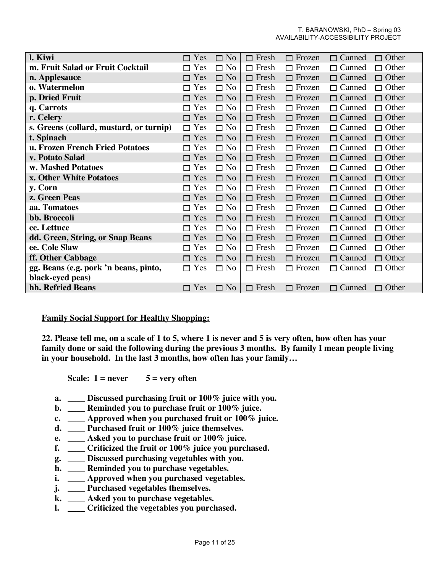| l. Kiwi                                 | $\Box$ Yes | $\Box$ No | $\Box$ Fresh | $\Box$ Frozen | $\Box$ Canned | $\Box$ Other |
|-----------------------------------------|------------|-----------|--------------|---------------|---------------|--------------|
| m. Fruit Salad or Fruit Cocktail        | $\Box$ Yes | $\Box$ No | $\Box$ Fresh | $\Box$ Frozen | $\Box$ Canned | $\Box$ Other |
| n. Applesauce                           | $\Box$ Yes | $\Box$ No | $\Box$ Fresh | $\Box$ Frozen | □ Canned      | $\Box$ Other |
| o. Watermelon                           | $\Box$ Yes | $\Box$ No | $\Box$ Fresh | $\Box$ Frozen | $\Box$ Canned | $\Box$ Other |
| p. Dried Fruit                          | $\Box$ Yes | $\Box$ No | $\Box$ Fresh | $\Box$ Frozen | $\Box$ Canned | $\Box$ Other |
| q. Carrots                              | $\Box$ Yes | $\Box$ No | $\Box$ Fresh | $\Box$ Frozen | $\Box$ Canned | $\Box$ Other |
| r. Celery                               | $\Box$ Yes | $\Box$ No | $\Box$ Fresh | $\Box$ Frozen | $\Box$ Canned | $\Box$ Other |
| s. Greens (collard, mustard, or turnip) | $\Box$ Yes | $\Box$ No | $\Box$ Fresh | $\Box$ Frozen | $\Box$ Canned | $\Box$ Other |
| t. Spinach                              | $\Box$ Yes | $\Box$ No | $\Box$ Fresh | $\Box$ Frozen | $\Box$ Canned | $\Box$ Other |
| u. Frozen French Fried Potatoes         | $\Box$ Yes | $\Box$ No | $\Box$ Fresh | $\Box$ Frozen | $\Box$ Canned | $\Box$ Other |
| v. Potato Salad                         | $\Box$ Yes | $\Box$ No | $\Box$ Fresh | $\Box$ Frozen | $\Box$ Canned | $\Box$ Other |
| w. Mashed Potatoes                      | $\Box$ Yes | $\Box$ No | $\Box$ Fresh | $\Box$ Frozen | □ Canned      | $\Box$ Other |
| x. Other White Potatoes                 | $\Box$ Yes | $\Box$ No | $\Box$ Fresh | $\Box$ Frozen | $\Box$ Canned | $\Box$ Other |
| y. Corn                                 | $\Box$ Yes | $\Box$ No | $\Box$ Fresh | $\Box$ Frozen | □ Canned      | $\Box$ Other |
| z. Green Peas                           | $\Box$ Yes | $\Box$ No | $\Box$ Fresh | $\Box$ Frozen | $\Box$ Canned | $\Box$ Other |
| aa. Tomatoes                            | $\Box$ Yes | $\Box$ No | $\Box$ Fresh | $\Box$ Frozen | $\Box$ Canned | $\Box$ Other |
| bb. Broccoli                            | $\Box$ Yes | $\Box$ No | $\Box$ Fresh | $\Box$ Frozen | $\Box$ Canned | $\Box$ Other |
| cc. Lettuce                             | $\Box$ Yes | $\Box$ No | $\Box$ Fresh | $\Box$ Frozen | $\Box$ Canned | $\Box$ Other |
| dd. Green, String, or Snap Beans        | $\Box$ Yes | $\Box$ No | $\Box$ Fresh | $\Box$ Frozen | $\Box$ Canned | $\Box$ Other |
| ee. Cole Slaw                           | $\Box$ Yes | $\Box$ No | $\Box$ Fresh | $\Box$ Frozen | $\Box$ Canned | $\Box$ Other |
| ff. Other Cabbage                       | $\Box$ Yes | $\Box$ No | $\Box$ Fresh | $\Box$ Frozen | $\Box$ Canned | $\Box$ Other |
| gg. Beans (e.g. pork 'n beans, pinto,   | $\Box$ Yes | $\Box$ No | $\Box$ Fresh | $\Box$ Frozen | $\Box$ Canned | $\Box$ Other |
| black-eyed peas)                        |            |           |              |               |               |              |
| hh. Refried Beans                       | Yes<br>П.  | $\Box$ No | $\Box$ Fresh | $\Box$ Frozen | $\Box$ Canned | $\Box$ Other |

#### **Family Social Support for Healthy Shopping:**

22. Please tell me, on a scale of 1 to 5, where 1 is never and 5 is very often, how often has your **family done or said the following during the previous 3 months. By family I mean people living in your household. In the last 3 months, how often has your family…**

**Scale: 1 = never 5 = very often**

- **a. \_\_\_\_ Discussed purchasing fruit or 100% juice with you.**
- **b. \_\_\_\_ Reminded you to purchase fruit or 100% juice.**
- **c. \_\_\_\_ Approved when you purchased fruit or 100% juice.**
- **d. \_\_\_\_ Purchased fruit or 100% juice themselves.**
- **e. \_\_\_\_ Asked you to purchase fruit or 100% juice.**
- **f. \_\_\_\_ Criticized the fruit or 100% juice you purchased.**
- **g. \_\_\_\_ Discussed purchasing vegetables with you.**
- **h. \_\_\_\_ Reminded you to purchase vegetables.**
- **i. \_\_\_\_ Approved when you purchased vegetables.**
- **j. \_\_\_\_ Purchased vegetables themselves.**
- **k. \_\_\_\_ Asked you to purchase vegetables.**
- **l. \_\_\_\_ Criticized the vegetables you purchased.**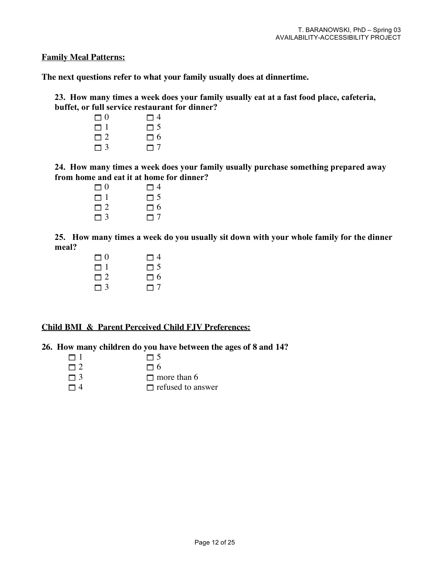**Family Meal Patterns:**

**The next questions refer to what your family usually does at dinnertime.**

**23. How many times a week does your family usually eat at a fast food place, cafeteria, buffet, or full service restaurant for dinner?** 

 $\Box$ 0  $\Box$  $\Box$  1  $\Box$  5<br> $\Box$  2  $\Box$  $\Box$  2  $\Box$  3  $\Box$ 

**24. How many times a week does your family usually purchase something prepared away from home and eat it at home for dinner?**

> $\Box$ 0  $\Box$  $\Box$  1  $\Box$  $\Box$  2  $\Box$  $\Box$  3  $\Box$

**25. How many times a week do you usually sit down with your whole family for the dinner meal?**

| $\Box$ 0 | $\Box$ 4 |
|----------|----------|
| m 1      | $\Box$ 5 |
| $\Box$ 2 | $\Box$ 6 |
| $\Box$ 3 | $\Box$ 7 |

#### **Child BMI & Parent Perceived Child FJV Preferences:**

#### **26. How many children do you have between the ages of 8 and 14?**

- $\Box$  1  $\Box$  5
- $\Box$  2  $\Box$  6
- $\Box$  3 more than 6
- $\Box$  4  $\Box$  refused to answer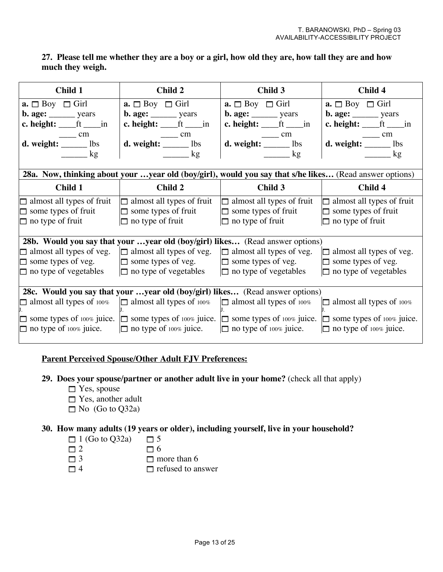### **27. Please tell me whether they are a boy or a girl, how old they are, how tall they are and how much they weigh.**

| Child 1                                                                                | Child 2                                                                                         | Child 3                                                                                                                      | Child 4                                                        |
|----------------------------------------------------------------------------------------|-------------------------------------------------------------------------------------------------|------------------------------------------------------------------------------------------------------------------------------|----------------------------------------------------------------|
| $\mathbf{a.} \Box$ Boy $\Box$ Girl                                                     | $\mathbf{a} \square$ Boy $\square$ Girl                                                         | $\mathbf{a} \square$ Boy $\square$ Girl                                                                                      | $\mathbf{a.} \Box$ Boy $\Box$ Girl                             |
| <b>b.</b> age: $\_\_\_\_\_\$ years                                                     | $b. age:$ years                                                                                 | $b. age:$ years                                                                                                              | b. age: _______ years                                          |
| c. height: $ft$ in                                                                     | c. height: $f_{\text{max}}$ ft $f_{\text{max}}$ in                                              | c. height: $ft$ in                                                                                                           | c. height: $f_{\text{max}}$ ft $f_{\text{max}}$ in             |
| $\sim$ cm                                                                              | $\sim$ cm                                                                                       | $\frac{1}{\sqrt{1-\frac{1}{2}}}\text{cm}$                                                                                    | $\frac{1}{\text{d. weight:}}$ $\frac{\text{cm}}{\text{m}}$ lbs |
| d. weight: _____ lbs                                                                   | d. weight: _____ lbs                                                                            | d. weight: _____ lbs                                                                                                         |                                                                |
| $\frac{\ }{2}$ kg                                                                      | $\frac{\log x}{1 + \log x}$                                                                     | $\frac{\ }{\ }$ kg                                                                                                           | $\frac{1}{\sqrt{2}}$ kg                                        |
|                                                                                        |                                                                                                 |                                                                                                                              |                                                                |
|                                                                                        |                                                                                                 | 28a. Now, thinking about your year old (boy/girl), would you say that s/he likes (Read answer options)                       |                                                                |
| Child 1                                                                                | Child 2                                                                                         | Child 3                                                                                                                      | Child 4                                                        |
| $\Box$ almost all types of fruit                                                       |                                                                                                 | $\Box$ almost all types of fruit $\Box$ almost all types of fruit $\Box$ almost all types of fruit                           |                                                                |
| some types of fruit                                                                    | $\Box$ some types of fruit                                                                      | $\Box$ some types of fruit                                                                                                   | $\Box$ some types of fruit                                     |
| $\Box$ no type of fruit                                                                | $\Box$ no type of fruit                                                                         | $\Box$ no type of fruit                                                                                                      | $\Box$ no type of fruit                                        |
|                                                                                        |                                                                                                 |                                                                                                                              |                                                                |
|                                                                                        |                                                                                                 | 28b. Would you say that your year old (boy/girl) likes (Read answer options)                                                 |                                                                |
|                                                                                        | $\Box$ almost all types of veg. $\Box$ almost all types of veg. $\Box$ almost all types of veg. |                                                                                                                              | $\Box$ almost all types of veg.                                |
| $\Box$ some types of veg.                                                              | $\Box$ some types of veg. $\Box$ some types of veg.                                             |                                                                                                                              | $\Box$ some types of veg.                                      |
| $\Box$ no type of vegetables $\Box$ no type of vegetables $\Box$ no type of vegetables |                                                                                                 |                                                                                                                              | $\Box$ no type of vegetables                                   |
|                                                                                        |                                                                                                 |                                                                                                                              |                                                                |
|                                                                                        |                                                                                                 | 28c. Would you say that your year old (boy/girl) likes (Read answer options)                                                 |                                                                |
|                                                                                        | $\Box$ almost all types of 100% $\Box$ almost all types of 100% $\Box$ almost all types of 100% |                                                                                                                              | $\Box$ almost all types of 100%                                |
|                                                                                        |                                                                                                 | some types of 100% juice. $\Box$ some types of 100% juice. $\Box$ some types of 100% juice. $\Box$ some types of 100% juice. |                                                                |
| $\square$ no type of 100% juice.                                                       | $\Box$ no type of 100% juice. $\Box$ no type of 100% juice.                                     |                                                                                                                              | $\Box$ no type of 100% juice.                                  |

#### **Parent Perceived Spouse/Other Adult FJV Preferences:**

#### **29. Does your spouse/partner or another adult live in your home?** (check all that apply)

- $\Box$  Yes, spouse
- □ Yes, another adult
- $\Box$  No (Go to Q32a)

#### **30. How many adults (19 years or older), including yourself, live in your household?**

- $\Box$  1 (Go to Q32a)  $\Box$  5
- $\Box$  2  $\Box$  6
- $\Box$  3 more than 6
- $\Box$  4  $\Box$  refused to answer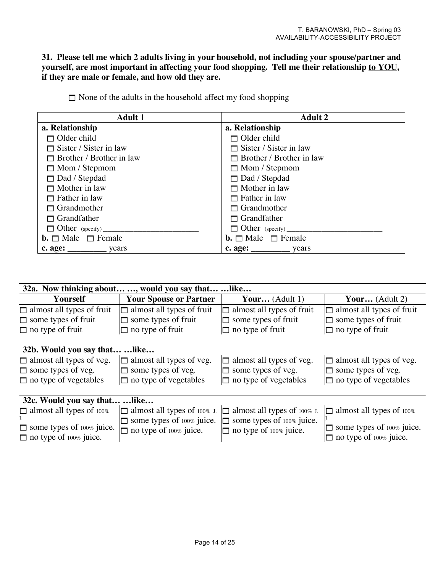**31. Please tell me which 2 adults living in your household, not including your spouse/partner and yourself, are most important in affecting your food shopping. Tell me their relationship to YOU, if they are male or female, and how old they are.**

| <b>Adult 1</b>                      | <b>Adult 2</b>                      |
|-------------------------------------|-------------------------------------|
| a. Relationship                     | a. Relationship                     |
| $\Box$ Older child                  | $\Box$ Older child                  |
| $\Box$ Sister / Sister in law       | $\Box$ Sister / Sister in law       |
| $\Box$ Brother / Brother in law     | $\Box$ Brother / Brother in law     |
| $\Box$ Mom / Stepmom                | $\Box$ Mom / Stepmom                |
| $\Box$ Dad / Stepdad                | $\Box$ Dad / Stepdad                |
| $\Box$ Mother in law                | $\Box$ Mother in law                |
| $\Box$ Father in law                | $\Box$ Father in law                |
| $\Box$ Grandmother                  | $\Box$ Grandmother                  |
| $\Box$ Grandfather                  | $\Box$ Grandfather                  |
| $\Box$ Other (specify)              |                                     |
| <b>b.</b> $\Box$ Male $\Box$ Female | <b>b.</b> $\Box$ Male $\Box$ Female |
| $c. age:$ years                     | $c. age:$ years                     |

 $\Box$  None of the adults in the household affect my food shopping

|                                     | 32a. Now thinking about , would you say that  like |                                    |                                  |
|-------------------------------------|----------------------------------------------------|------------------------------------|----------------------------------|
| Yourself                            | <b>Your Spouse or Partner</b>                      | Your $(Adult 1)$                   | Your (Adult 2)                   |
| $\Box$ almost all types of fruit    | $\Box$ almost all types of fruit                   | almost all types of fruit<br>IП    | $\Box$ almost all types of fruit |
| $\Box$ some types of fruit          | some types of fruit                                | $\Box$ some types of fruit         | $\Box$ some types of fruit       |
| $\Box$ no type of fruit             | $\Box$ no type of fruit                            | $\Box$ no type of fruit            | $\Box$ no type of fruit          |
|                                     |                                                    |                                    |                                  |
| 32b. Would you say that  like       |                                                    |                                    |                                  |
| $\Box$ almost all types of veg.     | $\Box$ almost all types of veg.                    | $\Box$ almost all types of veg.    | $\Box$ almost all types of veg.  |
| $\Box$ some types of veg.           | some types of veg.<br>In                           | $\Box$ some types of veg.          | $\Box$ some types of veg.        |
| $\Box$ no type of vegetables        | $\Box$ no type of vegetables                       | $\Box$ no type of vegetables       | $\Box$ no type of vegetables     |
|                                     |                                                    |                                    |                                  |
| 32c. Would you say that  like       |                                                    |                                    |                                  |
| $\Box$ almost all types of 100%     | almost all types of $100\%$ J.                     | $\Box$ almost all types of 100% J. | $\Box$ almost all types of 100%  |
|                                     | $\Box$ some types of 100% juice.                   | some types of 100% juice.<br>IO.   |                                  |
| $\square$ some types of 100% juice. | $\Box$ no type of 100% juice.                      | $\square$ no type of 100% juice.   | some types of 100% juice.        |
| $\Box$ no type of 100% juice.       |                                                    |                                    | $\Box$ no type of 100% juice.    |
|                                     |                                                    |                                    |                                  |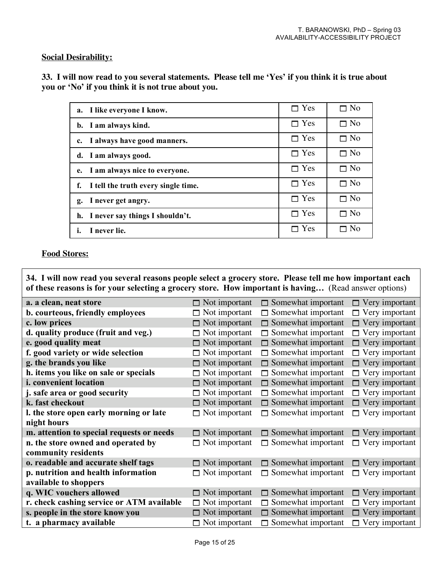#### **Social Desirability:**

33. I will now read to you several statements. Please tell me 'Yes' if you think it is true about **you or 'No' if you think it is not true about you.**

| a. I like everyone I know.             | $\Box$ Yes         | $\Box$ No   |
|----------------------------------------|--------------------|-------------|
| b. I am always kind.                   | $\Box$ Yes         | $\Box$ No   |
| c. I always have good manners.         | $\Box$ Yes         | $\Box$ No   |
| d. I am always good.                   | $\Box$ Yes         | $\Box$ No   |
| e. I am always nice to everyone.       | $\Box$ Yes         | $\Box$ No   |
| f. I tell the truth every single time. | $\blacksquare$ Yes | $\Box$ No   |
| g. I never get angry.                  | $\Box$ Yes         | $\Box$ No   |
| h. I never say things I shouldn't.     | $\Box$ Yes         | $\Box$ No   |
| I never lie.<br>ı.                     | Yes                | $\sqcap$ No |

#### **Food Stores:**

**34. I will now read you several reasons people select a grocery store. Please tell me how important each of these reasons is for your selecting a grocery store. How important is having…** (Read answer options)

| a. a clean, neat store                    | $\Box$ Not important | $\Box$ Somewhat important | $\Box$ Very important |
|-------------------------------------------|----------------------|---------------------------|-----------------------|
| b. courteous, friendly employees          | $\Box$ Not important | $\Box$ Somewhat important | $\Box$ Very important |
| c. low prices                             | $\Box$ Not important | $\Box$ Somewhat important | $\Box$ Very important |
| d. quality produce (fruit and veg.)       | $\Box$ Not important | $\Box$ Somewhat important | $\Box$ Very important |
| e. good quality meat                      | $\Box$ Not important | $\Box$ Somewhat important | $\Box$ Very important |
| f. good variety or wide selection         | $\Box$ Not important | $\Box$ Somewhat important | $\Box$ Very important |
| g. the brands you like                    | $\Box$ Not important | $\Box$ Somewhat important | $\Box$ Very important |
| h. items you like on sale or specials     | $\Box$ Not important | $\Box$ Somewhat important | $\Box$ Very important |
| <i>i.</i> convenient location             | $\Box$ Not important | $\Box$ Somewhat important | $\Box$ Very important |
| j. safe area or good security             | $\Box$ Not important | $\Box$ Somewhat important | $\Box$ Very important |
| k. fast checkout                          | $\Box$ Not important | $\Box$ Somewhat important | $\Box$ Very important |
| I. the store open early morning or late   | $\Box$ Not important | $\Box$ Somewhat important | $\Box$ Very important |
| night hours                               |                      |                           |                       |
| m. attention to special requests or needs | $\Box$ Not important | $\Box$ Somewhat important | $\Box$ Very important |
| n. the store owned and operated by        | $\Box$ Not important | $\Box$ Somewhat important | $\Box$ Very important |
| community residents                       |                      |                           |                       |
| o. readable and accurate shelf tags       | $\Box$ Not important | $\Box$ Somewhat important | $\Box$ Very important |
| p. nutrition and health information       | $\Box$ Not important | $\Box$ Somewhat important | $\Box$ Very important |
| available to shoppers                     |                      |                           |                       |
| q. WIC vouchers allowed                   | $\Box$ Not important | $\Box$ Somewhat important | $\Box$ Very important |
| r. check cashing service or ATM available | $\Box$ Not important | $\Box$ Somewhat important | $\Box$ Very important |
| s. people in the store know you           | $\Box$ Not important | $\Box$ Somewhat important | $\Box$ Very important |
| t. a pharmacy available                   | $\Box$ Not important | $\Box$ Somewhat important | $\Box$ Very important |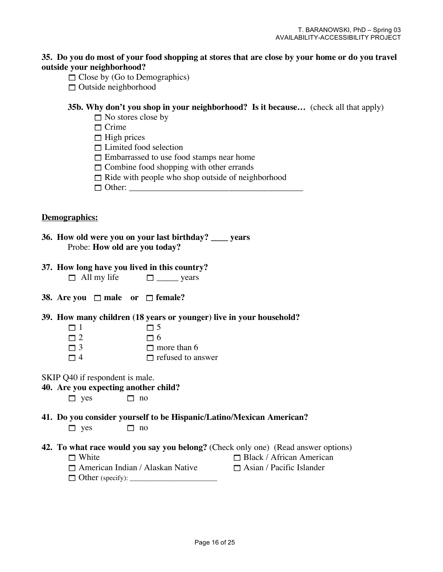#### **35. Do you do most of your food shopping at stores that are close by your home or do you travel outside your neighborhood?**

- $\Box$  Close by (Go to Demographics)
- $\Box$  Outside neighborhood

#### **35b. Why don't you shop in your neighborhood? Is it because…** (check all that apply)

- $\Box$  No stores close by
- $\Box$  Crime
- $\Box$  High prices
- $\Box$  Limited food selection
- $\Box$  Embarrassed to use food stamps near home
- $\Box$  Combine food shopping with other errands
- $\Box$  Ride with people who shop outside of neighborhood
- $\Box$  Other:

#### **Demographics:**

| 36. How old were you on your last birthday? ____ years |
|--------------------------------------------------------|
| Probe: How old are you today?                          |
|                                                        |

- **37. How long have you lived in this country?**  $\Box$  All my life  $\Box$  \_\_\_\_\_\_ years
- **38.** Are you  $\Box$  male or  $\Box$  female?
- **39. How many children (18 years or younger) live in your household?**
	- $\Box$  1  $\Box$  5
	- $\Box$  2  $\Box$   $\Box$  6
	- $\Box$  3 more than 6
	- $\Box$  4  $\Box$  refused to answer
- SKIP Q40 if respondent is male.

#### **40. Are you expecting another child?**

 $\Box$  yes  $\Box$  no

# **41. Do you consider yourself to be Hispanic/Latino/Mexican American?**

- $\Box$  yes  $\Box$  no
- **42. To what race would you say you belong?** (Check only one) (Read answer options)
	-
	- $\Box$  White  $\Box$  Black / African American  $\Box$  American Indian / Alaskan Native  $\Box$  Asian / Pacific Islander
	- Other (specify): \_\_\_\_\_\_\_\_\_\_\_\_\_\_\_\_\_\_\_\_\_\_\_\_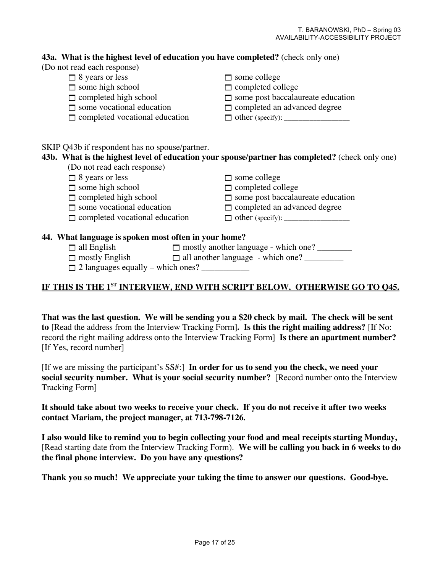#### **43a. What is the highest level of education you have completed?** (check only one)

#### (Do not read each response)

- $\Box$  8 years or less  $\Box$  some college
- $\Box$  some high school  $\Box$  completed college
- 
- 
- 
- 
- 
- $\Box$  completed high school  $\Box$  some post baccalaureate education
- □ some vocational education □ completed an advanced degree
- $\Box$  completed vocational education  $\Box$  other (specify):

### SKIP Q43b if respondent has no spouse/partner.

### **43b. What is the highest level of education your spouse/partner has completed?** (check only one)

- (Do not read each response)
- 
- 

 $\Box$  8 years or less  $\Box$  some college

- $\Box$  some high school  $\Box$  completed college
- $\Box$  completed high school  $\Box$  some post baccalaureate education
- some vocational education completed an advanced degree
- $\Box$  completed vocational education  $\Box$  other (specify):

### **44. What language is spoken most often in your home?**

- all English mostly another language which one? \_\_\_\_\_\_\_\_
- $\Box$  mostly English  $\Box$  all another language which one?
- $\Box$  2 languages equally which ones?

### **IF THIS IS THE 1ST INTERVIEW, END WITH SCRIPT BELOW. OTHERWISE GO TO Q45.**

**That was the last question. We will be sending you a \$20 check by mail. The check will be sent to** [Read the address from the Interview Tracking Form]**. Is this the right mailing address?** [If No: record the right mailing address onto the Interview Tracking Form] **Is there an apartment number?** [If Yes, record number]

[If we are missing the participant's SS#:] **In order for us to send you the check, we need your social security number. What is your social security number?** [Record number onto the Interview Tracking Form]

**It should take about two weeks to receive your check. If you do not receive it after two weeks contact Mariam, the project manager, at 713-798-7126.**

**I also would like to remind you to begin collecting your food and meal receipts starting Monday,** [Read starting date from the Interview Tracking Form). **We will be calling you back in 6 weeks to do the final phone interview. Do you have any questions?**

**Thank you so much! We appreciate your taking the time to answer our questions. Good-bye.**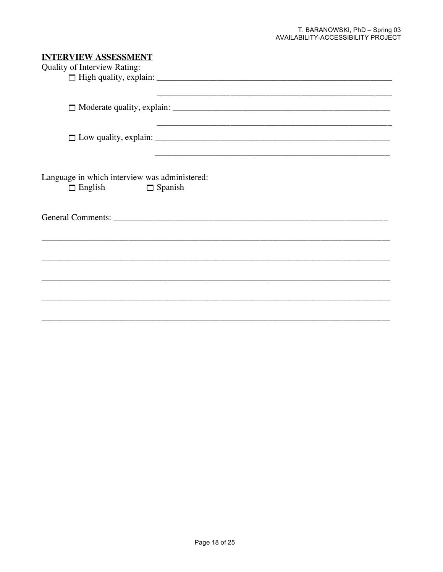### **INTERVIEW ASSESSMENT**

| Quality of Interview Rating:                                    |                |
|-----------------------------------------------------------------|----------------|
|                                                                 |                |
|                                                                 |                |
|                                                                 |                |
|                                                                 |                |
|                                                                 |                |
|                                                                 |                |
|                                                                 |                |
| Language in which interview was administered:<br>$\Box$ English | $\Box$ Spanish |
|                                                                 |                |
|                                                                 |                |
|                                                                 |                |
|                                                                 |                |
|                                                                 |                |
|                                                                 |                |
|                                                                 |                |
|                                                                 |                |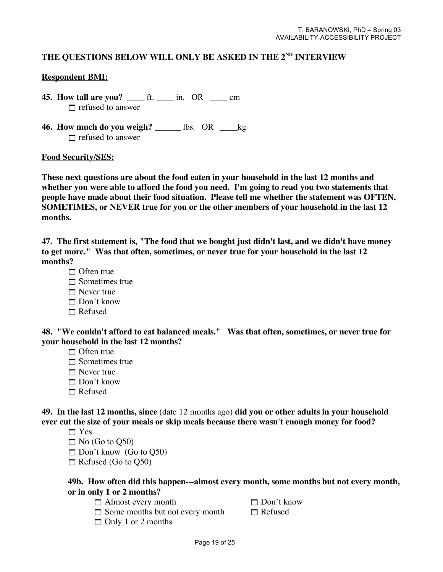## **THE QUESTIONS BELOW WILL ONLY BE ASKED IN THE 2ND INTERVIEW**

#### **Respondent BMI:**

- **45. How tall are you?** \_\_\_\_ ft. \_\_\_\_ in. OR \_\_\_\_ cm  $\Box$  refused to answer
- **46. How much do you weigh?** \_\_\_\_\_\_ lbs. OR \_\_\_\_kg  $\Box$  refused to answer

#### **Food Security/SES:**

**These next questions are about the food eaten in your household in the last 12 months and whether you were able to afford the food you need. I'm going to read you two statements that people have made about their food situation. Please tell me whether the statement was OFTEN, SOMETIMES, or NEVER true for you or the other members of your household in the last 12 months.**

**47. The first statement is, "The food that we bought just didn't last, and we didn't have money to get more." Was that often, sometimes, or never true for your household in the last 12 months?**

- $\Box$  Often true
- $\Box$  Sometimes true
- $\Box$  Never true
- □ Don't know
- $\Box$  Refused

**48. "We couldn't afford to eat balanced meals." Was that often, sometimes, or never true for your household in the last 12 months?**

- $\Box$  Often true
- $\Box$  Sometimes true
- $\Box$  Never true
- □ Don't know
- $\Box$  Refused

**49. In the last 12 months, since** (date 12 months ago) **did you or other adults in your household ever cut the size of your meals or skip meals because there wasn't enough money for food?**

- $\Box$  Yes
- $\Box$  No (Go to O50)
- $\Box$  Don't know (Go to O50)
- $\Box$  Refused (Go to Q50)

#### **49b. How often did this happen---almost every month, some months but not every month, or in only 1 or 2 months?**

- $\Box$  Almost every month  $\Box$  Don't know
- 
- □ Only 1 or 2 months
- $\Box$  Some months but not every month  $\Box$  Refused
	- Page 19 of 25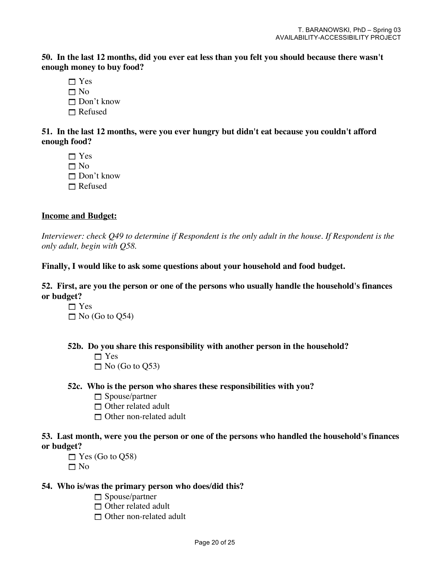50. In the last 12 months, did you ever eat less than you felt you should because there wasn't **enough money to buy food?**

□ Yes  $\Box$  No □ Don't know  $\Box$  Refused

**51. In the last 12 months, were you ever hungry but didn't eat because you couldn't afford enough food?**

 $\neg$  Yes

 $\Box$  No

 $\Box$  Don't know

 $\Box$  Refused

### **Income and Budget:**

*Interviewer: check Q49 to determine if Respondent is the only adult in the house. If Respondent is the only adult, begin with Q58.*

**Finally, I would like to ask some questions about your household and food budget.**

**52. First, are you the person or one of the persons who usually handle the household's finances or budget?**

 $\neg$  Yes  $\Box$  No (Go to Q54)

**52b. Do you share this responsibility with another person in the household?**

- $\Box$  Yes
- $\Box$  No (Go to O53)

#### **52c. Who is the person who shares these responsibilities with you?**

- $\Box$  Spouse/partner
- $\Box$  Other related adult
- $\Box$  Other non-related adult

### **53. Last month, were you the person or one of the persons who handled the household's finances or budget?**

 $\Box$  Yes (Go to Q58)  $\Box$  No

#### **54. Who is/was the primary person who does/did this?**

- $\Box$  Spouse/partner
- □ Other related adult
- □ Other non-related adult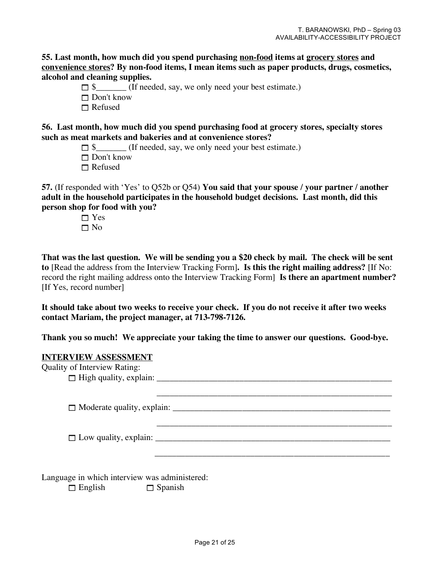**55. Last month, how much did you spend purchasing non-food items at grocery stores and convenience stores? By non-food items, I mean items such as paper products, drugs, cosmetics, alcohol and cleaning supplies.**

 $\Box$  \$ (If needed, say, we only need your best estimate.)

 $\Box$  Don't know

 $\Box$  Refused

**56. Last month, how much did you spend purchasing food at grocery stores, specialty stores such as meat markets and bakeries and at convenience stores?** 

 $\Box$  \$ (If needed, say, we only need your best estimate.)

 $\Box$  Don't know

□ Refused

**57.** (If responded with 'Yes' to Q52b or Q54) **You said that your spouse / your partner / another adult in the household participates in the household budget decisions. Last month, did this person shop for food with you?** 

> $\neg$  Yes  $\Box$  No

**That was the last question. We will be sending you a \$20 check by mail. The check will be sent to** [Read the address from the Interview Tracking Form]**. Is this the right mailing address?** [If No: record the right mailing address onto the Interview Tracking Form] **Is there an apartment number?** [If Yes, record number]

**It should take about two weeks to receive your check. If you do not receive it after two weeks contact Mariam, the project manager, at 713-798-7126.**

**Thank you so much! We appreciate your taking the time to answer our questions. Good-bye.**

#### **INTERVIEW ASSESSMENT**

Quality of Interview Rating: High quality, explain: \_\_\_\_\_\_\_\_\_\_\_\_\_\_\_\_\_\_\_\_\_\_\_\_\_\_\_\_\_\_\_\_\_\_\_\_\_\_\_\_\_\_\_\_\_\_\_\_\_\_\_\_\_\_ \_\_\_\_\_\_\_\_\_\_\_\_\_\_\_\_\_\_\_\_\_\_\_\_\_\_\_\_\_\_\_\_\_\_\_\_\_\_\_\_\_\_\_\_\_\_\_\_\_\_\_\_\_\_  $\Box$  Moderate quality, explain: \_\_\_\_\_\_\_\_\_\_\_\_\_\_\_\_\_\_\_\_\_\_\_\_\_\_\_\_\_\_\_\_\_\_\_\_\_\_\_\_\_\_\_\_\_\_\_\_\_\_\_\_\_\_  $\Box$  Low quality, explain: \_\_\_\_\_\_\_\_\_\_\_\_\_\_\_\_\_\_\_\_\_\_\_\_\_\_\_\_\_\_\_\_\_\_\_\_\_\_\_\_\_\_\_\_\_\_\_\_\_\_\_\_\_\_ Language in which interview was administered:  $\Box$  English  $\Box$  Spanish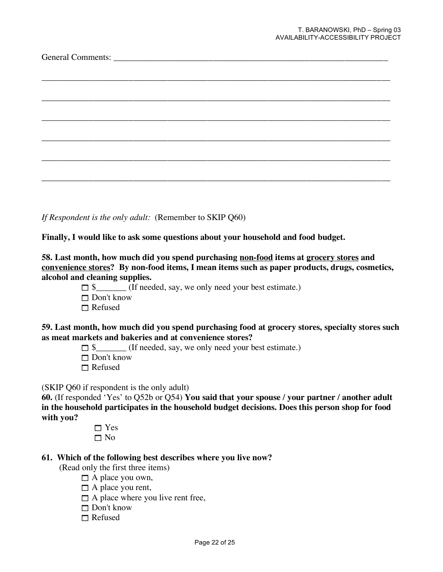*If Respondent is the only adult:* (Remember to SKIP Q60)

**Finally, I would like to ask some questions about your household and food budget.**

**58. Last month, how much did you spend purchasing non-food items at grocery stores and convenience stores? By non-food items, I mean items such as paper products, drugs, cosmetics, alcohol and cleaning supplies.**

- $\Box$  \$ (If needed, say, we only need your best estimate.)
- □ Don't know
- $\Box$  Refused

**59. Last month, how much did you spend purchasing food at grocery stores, specialty stores such as meat markets and bakeries and at convenience stores?** 

- $\Box$  \$ (If needed, say, we only need your best estimate.)
- □ Don't know
- $\Box$  Refused

(SKIP Q60 if respondent is the only adult)

**60.** (If responded 'Yes' to Q52b or Q54) **You said that your spouse / your partner / another adult in the household participates in the household budget decisions. Does this person shop for food with you?**

> □ Yes □ No

#### **61. Which of the following best describes where you live now?**

(Read only the first three items)

- $\Box$  A place you own,
- $\Box$  A place you rent,
- $\Box$  A place where you live rent free,
- □ Don't know
- Refused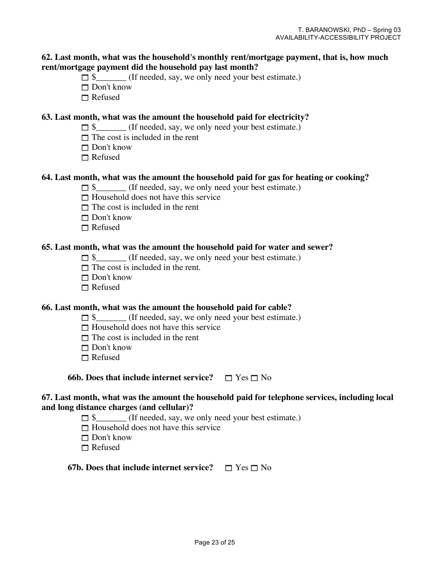#### **62. Last month, what was the household's monthly rent/mortgage payment, that is, how much rent/mortgage payment did the household pay last month?**

- $\Box$  \$ (If needed, say, we only need your best estimate.)
- □ Don't know
- $\Box$  Refused

### **63. Last month, what was the amount the household paid for electricity?**

- $\Box$  \$\_\_\_\_\_\_\_ (If needed, say, we only need your best estimate.)
- $\Box$  The cost is included in the rent
- $\Box$  Don't know
- $\Box$  Refused

#### **64. Last month, what was the amount the household paid for gas for heating or cooking?**

- $\Box$  \$ (If needed, say, we only need your best estimate.)
- $\Box$  Household does not have this service
- $\Box$  The cost is included in the rent
- $\Box$  Don't know
- $\Box$  Refused

#### **65. Last month, what was the amount the household paid for water and sewer?**

- $\Box$  \$ (If needed, say, we only need your best estimate.)
- $\Box$  The cost is included in the rent.
- $\Box$  Don't know
- $\Box$  Refused

#### **66. Last month, what was the amount the household paid for cable?**

- $\Box$  \$\_\_\_\_\_\_\_\_ (If needed, say, we only need your best estimate.)
- $\Box$  Household does not have this service
- $\Box$  The cost is included in the rent
- $\Box$  Don't know
- Refused

**66b.** Does that include internet service?  $\Box$  Yes  $\Box$  No

#### **67. Last month, what was the amount the household paid for telephone services, including local and long distance charges (and cellular)?**

- $\Box$  \$ (If needed, say, we only need your best estimate.)
- $\Box$  Household does not have this service
- Don't know
- Refused

**67b.** Does that include internet service?  $\Box$  Yes  $\Box$  No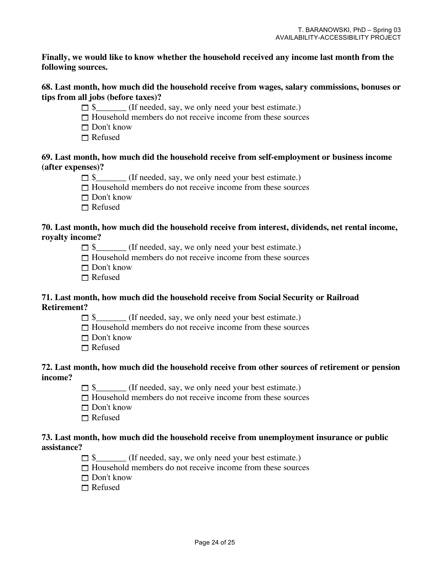#### **Finally, we would like to know whether the household received any income last month from the following sources.**

#### **68. Last month, how much did the household receive from wages, salary commissions, bonuses or tips from all jobs (before taxes)?**

- $\Box$  \$ (If needed, say, we only need your best estimate.)
- $\Box$  Household members do not receive income from these sources
- □ Don't know
- $\Box$  Refused

#### **69. Last month, how much did the household receive from self-employment or business income (after expenses)?**

- $\Box$  \$ (If needed, say, we only need your best estimate.)
- $\Box$  Household members do not receive income from these sources
- $\Box$  Don't know
- $\Box$  Refused

#### **70. Last month, how much did the household receive from interest, dividends, net rental income, royalty income?**

- $\Box$  \$ (If needed, say, we only need your best estimate.)
- $\Box$  Household members do not receive income from these sources
- $\Box$  Don't know
- $\Box$  Refused

#### **71. Last month, how much did the household receive from Social Security or Railroad Retirement?**

- $\Box$  \$\_\_\_\_\_\_\_\_ (If needed, say, we only need your best estimate.)
- $\Box$  Household members do not receive income from these sources
- $\Box$  Don't know
- Refused

#### **72. Last month, how much did the household receive from other sources of retirement or pension income?**

- $\Box$  \$ (If needed, say, we only need your best estimate.)
- $\Box$  Household members do not receive income from these sources
- $\Box$  Don't know
- Refused

#### **73. Last month, how much did the household receive from unemployment insurance or public assistance?**

- $\Box$  \$\_\_\_\_\_\_\_\_ (If needed, say, we only need your best estimate.)
- $\Box$  Household members do not receive income from these sources
- □ Don't know
- $\Box$  Refused